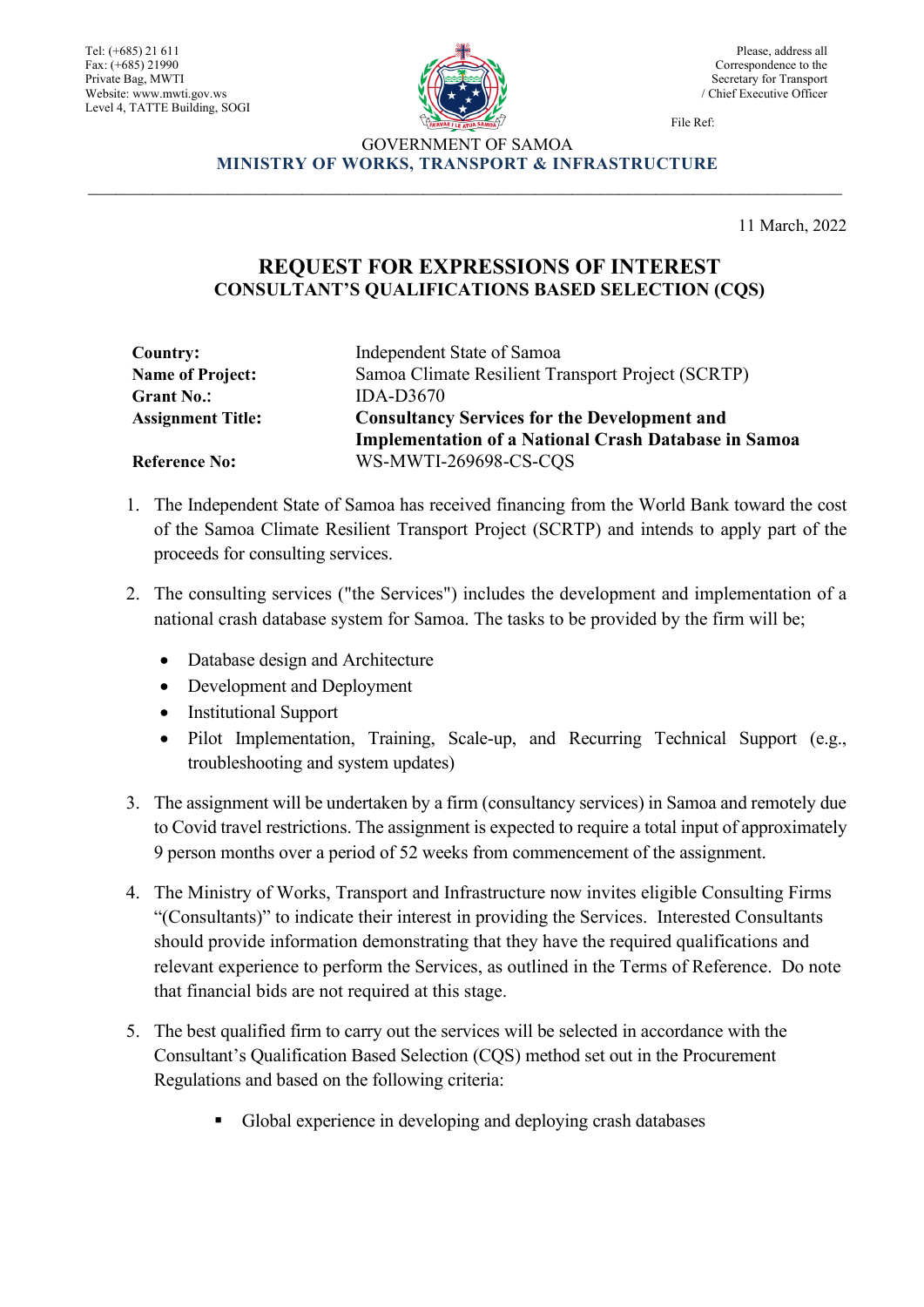Tel: (+685) 21 611 Fax: (+685) 21990 Private Bag, MWTI Website: www.mwti.gov.ws Level 4, TATTE Building, SOGI



Please, address all Correspondence to the Secretary for Transport / Chief Executive Officer

File Ref:

## GOVERNMENT OF SAMOA **MINISTRY OF WORKS, TRANSPORT & INFRASTRUCTURE** \_\_\_\_\_\_\_\_\_\_\_\_\_\_\_\_\_\_\_\_\_\_\_\_\_\_\_\_\_\_\_\_\_\_\_\_\_\_\_\_\_\_\_\_\_\_\_\_\_\_\_\_\_\_\_\_\_\_\_\_\_\_\_\_\_\_\_\_\_\_\_\_\_\_\_\_\_\_\_\_\_

11 March, 2022

## **REQUEST FOR EXPRESSIONS OF INTEREST CONSULTANT'S QUALIFICATIONS BASED SELECTION (CQS)**

| Country:                 | Independent State of Samoa                                  |
|--------------------------|-------------------------------------------------------------|
| <b>Name of Project:</b>  | Samoa Climate Resilient Transport Project (SCRTP)           |
| <b>Grant No.:</b>        | $IDA-D3670$                                                 |
| <b>Assignment Title:</b> | <b>Consultancy Services for the Development and</b>         |
|                          | <b>Implementation of a National Crash Database in Samoa</b> |
| <b>Reference No:</b>     | WS-MWTI-269698-CS-CQS                                       |

- 1. The Independent State of Samoa has received financing from the World Bank toward the cost of the Samoa Climate Resilient Transport Project (SCRTP) and intends to apply part of the proceeds for consulting services.
- 2. The consulting services ("the Services") includes the development and implementation of a national crash database system for Samoa. The tasks to be provided by the firm will be;
	- Database design and Architecture
	- Development and Deployment
	- Institutional Support
	- Pilot Implementation, Training, Scale-up, and Recurring Technical Support (e.g., troubleshooting and system updates)
- 3. The assignment will be undertaken by a firm (consultancy services) in Samoa and remotely due to Covid travel restrictions. The assignment is expected to require a total input of approximately 9 person months over a period of 52 weeks from commencement of the assignment.
- 4. The Ministry of Works, Transport and Infrastructure now invites eligible Consulting Firms "(Consultants)" to indicate their interest in providing the Services. Interested Consultants should provide information demonstrating that they have the required qualifications and relevant experience to perform the Services, as outlined in the Terms of Reference. Do note that financial bids are not required at this stage.
- 5. The best qualified firm to carry out the services will be selected in accordance with the Consultant's Qualification Based Selection (CQS) method set out in the Procurement Regulations and based on the following criteria:
	- Global experience in developing and deploying crash databases